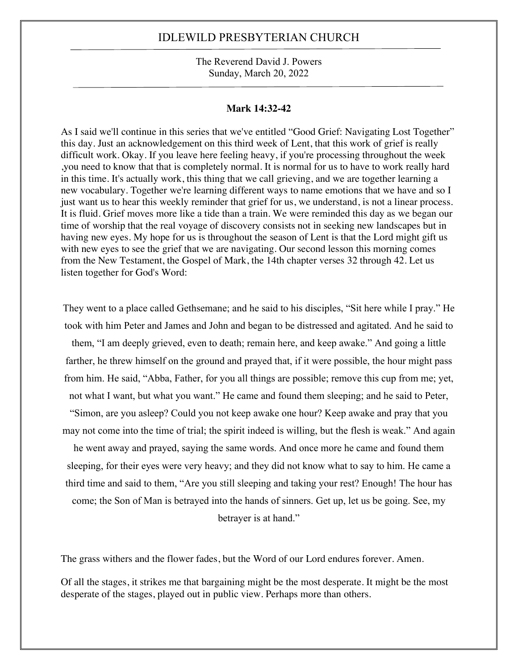The Reverend David J. Powers Sunday, March 20, 2022

#### **Mark 14:32-42**

As I said we'll continue in this series that we've entitled "Good Grief: Navigating Lost Together" this day. Just an acknowledgement on this third week of Lent, that this work of grief is really difficult work. Okay. If you leave here feeling heavy, if you're processing throughout the week ,you need to know that that is completely normal. It is normal for us to have to work really hard in this time. It's actually work, this thing that we call grieving, and we are together learning a new vocabulary. Together we're learning different ways to name emotions that we have and so I just want us to hear this weekly reminder that grief for us, we understand, is not a linear process. It is fluid. Grief moves more like a tide than a train. We were reminded this day as we began our time of worship that the real voyage of discovery consists not in seeking new landscapes but in having new eyes. My hope for us is throughout the season of Lent is that the Lord might gift us with new eyes to see the grief that we are navigating. Our second lesson this morning comes from the New Testament, the Gospel of Mark, the 14th chapter verses 32 through 42. Let us listen together for God's Word:

They went to a place called Gethsemane; and he said to his disciples, "Sit here while I pray." He took with him Peter and James and John and began to be distressed and agitated. And he said to them, "I am deeply grieved, even to death; remain here, and keep awake." And going a little farther, he threw himself on the ground and prayed that, if it were possible, the hour might pass from him. He said, "Abba, Father, for you all things are possible; remove this cup from me; yet, not what I want, but what you want." He came and found them sleeping; and he said to Peter,

"Simon, are you asleep? Could you not keep awake one hour? Keep awake and pray that you may not come into the time of trial; the spirit indeed is willing, but the flesh is weak." And again

he went away and prayed, saying the same words. And once more he came and found them sleeping, for their eyes were very heavy; and they did not know what to say to him. He came a third time and said to them, "Are you still sleeping and taking your rest? Enough! The hour has come; the Son of Man is betrayed into the hands of sinners. Get up, let us be going. See, my betrayer is at hand."

The grass withers and the flower fades, but the Word of our Lord endures forever. Amen.

Of all the stages, it strikes me that bargaining might be the most desperate. It might be the most desperate of the stages, played out in public view. Perhaps more than others.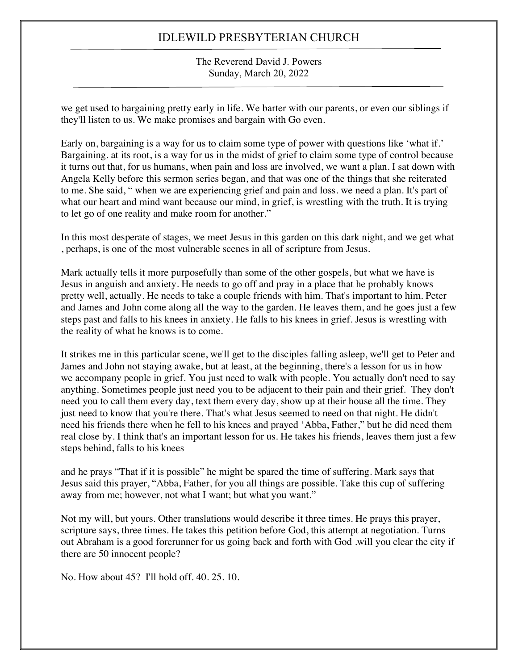The Reverend David J. Powers Sunday, March 20, 2022

we get used to bargaining pretty early in life. We barter with our parents, or even our siblings if they'll listen to us. We make promises and bargain with Go even.

Early on, bargaining is a way for us to claim some type of power with questions like 'what if.' Bargaining. at its root, is a way for us in the midst of grief to claim some type of control because it turns out that, for us humans, when pain and loss are involved, we want a plan. I sat down with Angela Kelly before this sermon series began, and that was one of the things that she reiterated to me. She said, " when we are experiencing grief and pain and loss. we need a plan. It's part of what our heart and mind want because our mind, in grief, is wrestling with the truth. It is trying to let go of one reality and make room for another."

In this most desperate of stages, we meet Jesus in this garden on this dark night, and we get what , perhaps, is one of the most vulnerable scenes in all of scripture from Jesus.

Mark actually tells it more purposefully than some of the other gospels, but what we have is Jesus in anguish and anxiety. He needs to go off and pray in a place that he probably knows pretty well, actually. He needs to take a couple friends with him. That's important to him. Peter and James and John come along all the way to the garden. He leaves them, and he goes just a few steps past and falls to his knees in anxiety. He falls to his knees in grief. Jesus is wrestling with the reality of what he knows is to come.

It strikes me in this particular scene, we'll get to the disciples falling asleep, we'll get to Peter and James and John not staying awake, but at least, at the beginning, there's a lesson for us in how we accompany people in grief. You just need to walk with people. You actually don't need to say anything. Sometimes people just need you to be adjacent to their pain and their grief. They don't need you to call them every day, text them every day, show up at their house all the time. They just need to know that you're there. That's what Jesus seemed to need on that night. He didn't need his friends there when he fell to his knees and prayed 'Abba, Father," but he did need them real close by. I think that's an important lesson for us. He takes his friends, leaves them just a few steps behind, falls to his knees

and he prays "That if it is possible" he might be spared the time of suffering. Mark says that Jesus said this prayer, "Abba, Father, for you all things are possible. Take this cup of suffering away from me; however, not what I want; but what you want."

Not my will, but yours. Other translations would describe it three times. He prays this prayer, scripture says, three times. He takes this petition before God, this attempt at negotiation. Turns out Abraham is a good forerunner for us going back and forth with God .will you clear the city if there are 50 innocent people?

No. How about 45? I'll hold off. 40. 25. 10.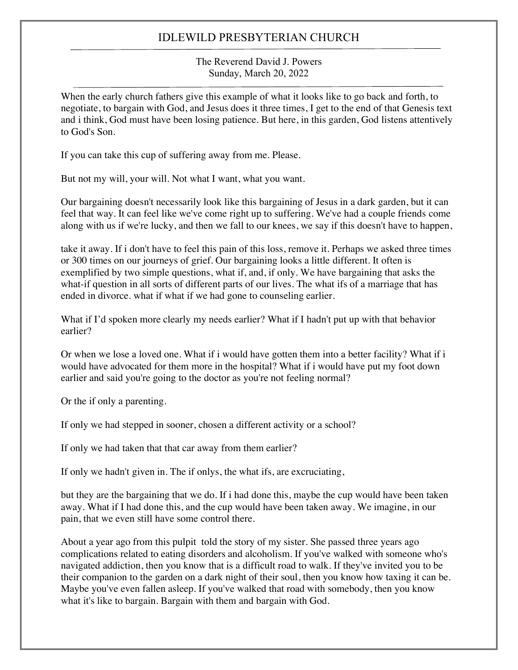The Reverend David J. Powers Sunday, March 20, 2022

When the early church fathers give this example of what it looks like to go back and forth, to negotiate, to bargain with God, and Jesus does it three times, I get to the end of that Genesis text and i think, God must have been losing patience. But here, in this garden, God listens attentively to God's Son.

If you can take this cup of suffering away from me. Please.

But not my will, your will. Not what I want, what you want.

Our bargaining doesn't necessarily look like this bargaining of Jesus in a dark garden, but it can feel that way. It can feel like we've come right up to suffering. We've had a couple friends come along with us if we're lucky, and then we fall to our knees, we say if this doesn't have to happen,

take it away. If i don't have to feel this pain of this loss, remove it. Perhaps we asked three times or 300 times on our journeys of grief. Our bargaining looks a little different. It often is exemplified by two simple questions, what if, and, if only. We have bargaining that asks the what-if question in all sorts of different parts of our lives. The what ifs of a marriage that has ended in divorce. what if what if we had gone to counseling earlier.

What if I'd spoken more clearly my needs earlier? What if I hadn't put up with that behavior earlier?

Or when we lose a loved one. What if i would have gotten them into a better facility? What if i would have advocated for them more in the hospital? What if i would have put my foot down earlier and said you're going to the doctor as you're not feeling normal?

Or the if only a parenting.

If only we had stepped in sooner, chosen a different activity or a school?

If only we had taken that that car away from them earlier?

If only we hadn't given in. The if onlys, the what ifs, are excruciating,

but they are the bargaining that we do. If i had done this, maybe the cup would have been taken away. What if I had done this, and the cup would have been taken away. We imagine, in our pain, that we even still have some control there.

About a year ago from this pulpit told the story of my sister. She passed three years ago complications related to eating disorders and alcoholism. If you've walked with someone who's navigated addiction, then you know that is a difficult road to walk. If they've invited you to be their companion to the garden on a dark night of their soul, then you know how taxing it can be. Maybe you've even fallen asleep. If you've walked that road with somebody, then you know what it's like to bargain. Bargain with them and bargain with God.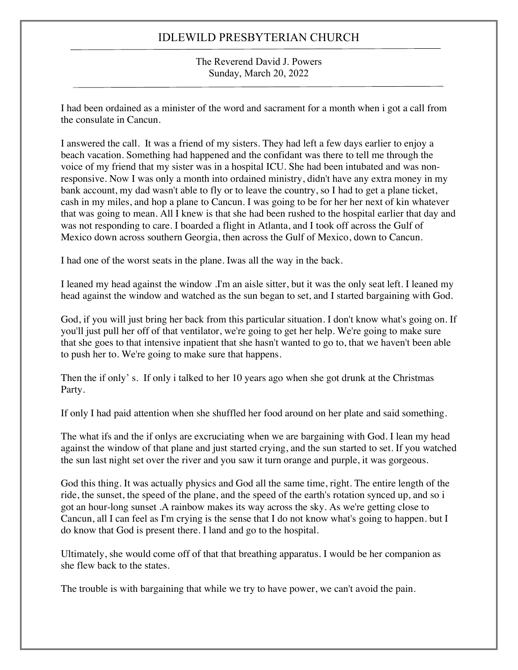The Reverend David J. Powers Sunday, March 20, 2022

I had been ordained as a minister of the word and sacrament for a month when i got a call from the consulate in Cancun.

I answered the call. It was a friend of my sisters. They had left a few days earlier to enjoy a beach vacation. Something had happened and the confidant was there to tell me through the voice of my friend that my sister was in a hospital ICU. She had been intubated and was nonresponsive. Now I was only a month into ordained ministry, didn't have any extra money in my bank account, my dad wasn't able to fly or to leave the country, so I had to get a plane ticket, cash in my miles, and hop a plane to Cancun. I was going to be for her her next of kin whatever that was going to mean. All I knew is that she had been rushed to the hospital earlier that day and was not responding to care. I boarded a flight in Atlanta, and I took off across the Gulf of Mexico down across southern Georgia, then across the Gulf of Mexico, down to Cancun.

I had one of the worst seats in the plane. Iwas all the way in the back.

I leaned my head against the window .I'm an aisle sitter, but it was the only seat left. I leaned my head against the window and watched as the sun began to set, and I started bargaining with God.

God, if you will just bring her back from this particular situation. I don't know what's going on. If you'll just pull her off of that ventilator, we're going to get her help. We're going to make sure that she goes to that intensive inpatient that she hasn't wanted to go to, that we haven't been able to push her to. We're going to make sure that happens.

Then the if only' s. If only i talked to her 10 years ago when she got drunk at the Christmas Party.

If only I had paid attention when she shuffled her food around on her plate and said something.

The what ifs and the if onlys are excruciating when we are bargaining with God. I lean my head against the window of that plane and just started crying, and the sun started to set. If you watched the sun last night set over the river and you saw it turn orange and purple, it was gorgeous.

God this thing. It was actually physics and God all the same time, right. The entire length of the ride, the sunset, the speed of the plane, and the speed of the earth's rotation synced up, and so i got an hour-long sunset .A rainbow makes its way across the sky. As we're getting close to Cancun, all I can feel as I'm crying is the sense that I do not know what's going to happen. but I do know that God is present there. I land and go to the hospital.

Ultimately, she would come off of that that breathing apparatus. I would be her companion as she flew back to the states.

The trouble is with bargaining that while we try to have power, we can't avoid the pain.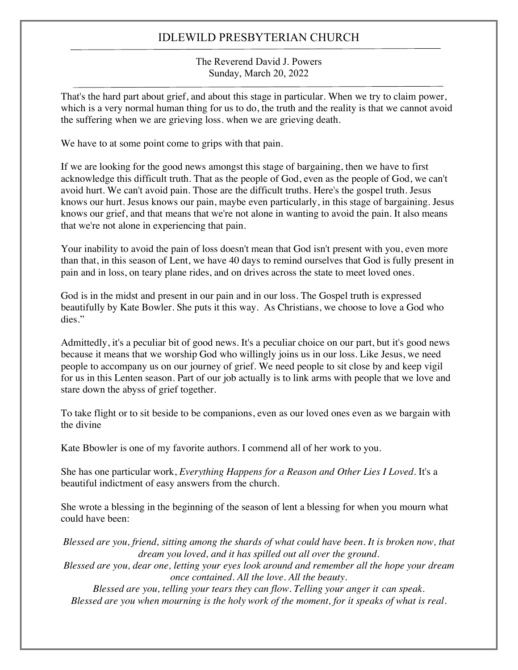The Reverend David J. Powers Sunday, March 20, 2022

That's the hard part about grief, and about this stage in particular. When we try to claim power, which is a very normal human thing for us to do, the truth and the reality is that we cannot avoid the suffering when we are grieving loss. when we are grieving death.

We have to at some point come to grips with that pain.

If we are looking for the good news amongst this stage of bargaining, then we have to first acknowledge this difficult truth. That as the people of God, even as the people of God, we can't avoid hurt. We can't avoid pain. Those are the difficult truths. Here's the gospel truth. Jesus knows our hurt. Jesus knows our pain, maybe even particularly, in this stage of bargaining. Jesus knows our grief, and that means that we're not alone in wanting to avoid the pain. It also means that we're not alone in experiencing that pain.

Your inability to avoid the pain of loss doesn't mean that God isn't present with you, even more than that, in this season of Lent, we have 40 days to remind ourselves that God is fully present in pain and in loss, on teary plane rides, and on drives across the state to meet loved ones.

God is in the midst and present in our pain and in our loss. The Gospel truth is expressed beautifully by Kate Bowler. She puts it this way. As Christians, we choose to love a God who dies."

Admittedly, it's a peculiar bit of good news. It's a peculiar choice on our part, but it's good news because it means that we worship God who willingly joins us in our loss. Like Jesus, we need people to accompany us on our journey of grief. We need people to sit close by and keep vigil for us in this Lenten season. Part of our job actually is to link arms with people that we love and stare down the abyss of grief together.

To take flight or to sit beside to be companions, even as our loved ones even as we bargain with the divine

Kate Bbowler is one of my favorite authors. I commend all of her work to you.

She has one particular work, *Everything Happens for a Reason and Other Lies I Loved*. It's a beautiful indictment of easy answers from the church.

She wrote a blessing in the beginning of the season of lent a blessing for when you mourn what could have been:

*Blessed are you, friend, sitting among the shards of what could have been. It is broken now, that dream you loved, and it has spilled out all over the ground. Blessed are you, dear one, letting your eyes look around and remember all the hope your dream once contained. All the love. All the beauty. Blessed are you, telling your tears they can flow. Telling your anger it can speak.* Blessed are you when mourning is the holy work of the moment, for it speaks of what is real.